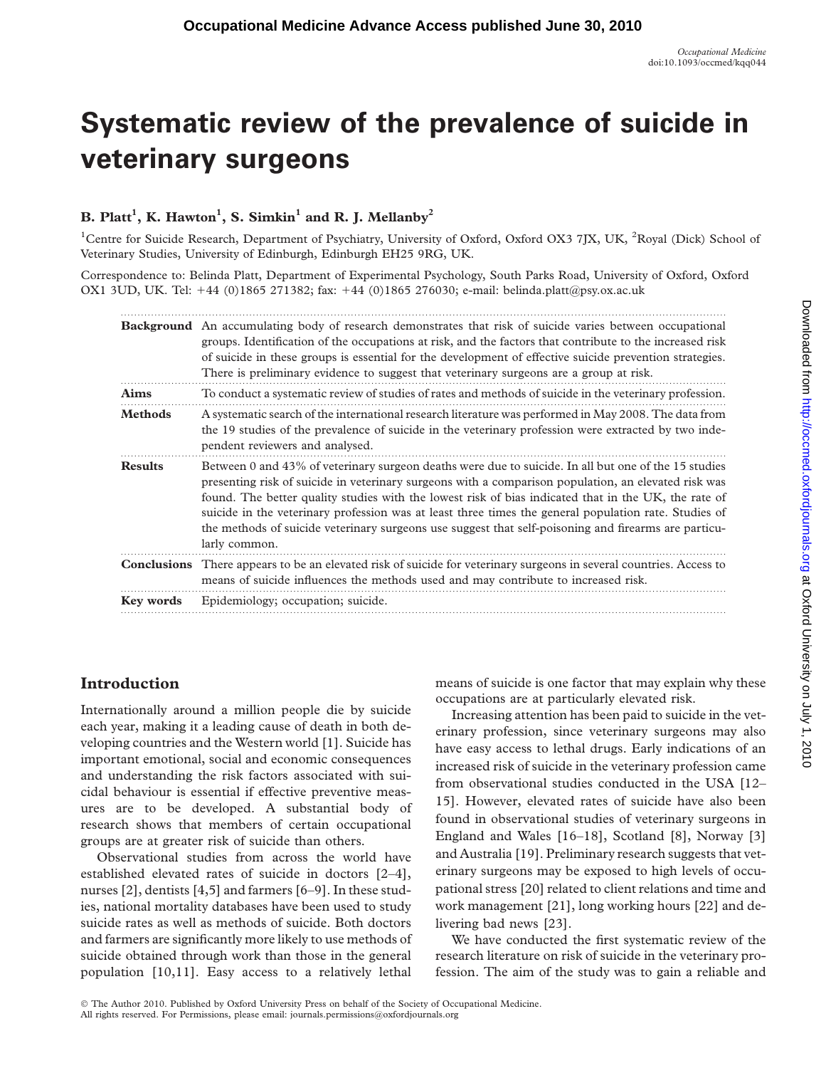# Systematic review of the prevalence of suicide in veterinary surgeons

### B. Platt<sup>1</sup>, K. Hawton<sup>1</sup>, S. Simkin<sup>1</sup> and R. J. Mellanby<sup>2</sup>

<sup>1</sup>Centre for Suicide Research, Department of Psychiatry, University of Oxford, Oxford OX3 7JX, UK, <sup>2</sup>Royal (Dick) School of Veterinary Studies, University of Edinburgh, Edinburgh EH25 9RG, UK.

Correspondence to: Belinda Platt, Department of Experimental Psychology, South Parks Road, University of Oxford, Oxford OX1 3UD, UK. Tel: 144 (0)1865 271382; fax: 144 (0)1865 276030; e-mail: belinda.platt@psy.ox.ac.uk

|                | <b>Background</b> An accumulating body of research demonstrates that risk of suicide varies between occupational<br>groups. Identification of the occupations at risk, and the factors that contribute to the increased risk<br>of suicide in these groups is essential for the development of effective suicide prevention strategies.<br>There is preliminary evidence to suggest that veterinary surgeons are a group at risk.                                                                                                                      |
|----------------|--------------------------------------------------------------------------------------------------------------------------------------------------------------------------------------------------------------------------------------------------------------------------------------------------------------------------------------------------------------------------------------------------------------------------------------------------------------------------------------------------------------------------------------------------------|
| Aims           | To conduct a systematic review of studies of rates and methods of suicide in the veterinary profession.                                                                                                                                                                                                                                                                                                                                                                                                                                                |
| <b>Methods</b> | A systematic search of the international research literature was performed in May 2008. The data from<br>the 19 studies of the prevalence of suicide in the veterinary profession were extracted by two inde-<br>pendent reviewers and analysed.                                                                                                                                                                                                                                                                                                       |
| <b>Results</b> | Between 0 and 43% of veterinary surgeon deaths were due to suicide. In all but one of the 15 studies<br>presenting risk of suicide in veterinary surgeons with a comparison population, an elevated risk was<br>found. The better quality studies with the lowest risk of bias indicated that in the UK, the rate of<br>suicide in the veterinary profession was at least three times the general population rate. Studies of<br>the methods of suicide veterinary surgeons use suggest that self-poisoning and firearms are particu-<br>larly common. |
|                | <b>Conclusions</b> There appears to be an elevated risk of suicide for veterinary surgeons in several countries. Access to<br>means of suicide influences the methods used and may contribute to increased risk.                                                                                                                                                                                                                                                                                                                                       |
| Key words      | Epidemiology; occupation; suicide.                                                                                                                                                                                                                                                                                                                                                                                                                                                                                                                     |

## Introduction

Internationally around a million people die by suicide each year, making it a leading cause of death in both developing countries and the Western world [1]. Suicide has important emotional, social and economic consequences and understanding the risk factors associated with suicidal behaviour is essential if effective preventive measures are to be developed. A substantial body of research shows that members of certain occupational groups are at greater risk of suicide than others.

Observational studies from across the world have established elevated rates of suicide in doctors [2–4], nurses [2], dentists [4,5] and farmers [6–9]. In these studies, national mortality databases have been used to study suicide rates as well as methods of suicide. Both doctors and farmers are significantly more likely to use methods of suicide obtained through work than those in the general population [10,11]. Easy access to a relatively lethal means of suicide is one factor that may explain why these occupations are at particularly elevated risk.

Increasing attention has been paid to suicide in the veterinary profession, since veterinary surgeons may also have easy access to lethal drugs. Early indications of an increased risk of suicide in the veterinary profession came from observational studies conducted in the USA [12– 15]. However, elevated rates of suicide have also been found in observational studies of veterinary surgeons in England and Wales [16–18], Scotland [8], Norway [3] and Australia [19]. Preliminary research suggests that veterinary surgeons may be exposed to high levels of occupational stress [20] related to client relations and time and work management [21], long working hours [22] and delivering bad news [23].

We have conducted the first systematic review of the research literature on risk of suicide in the veterinary profession. The aim of the study was to gain a reliable and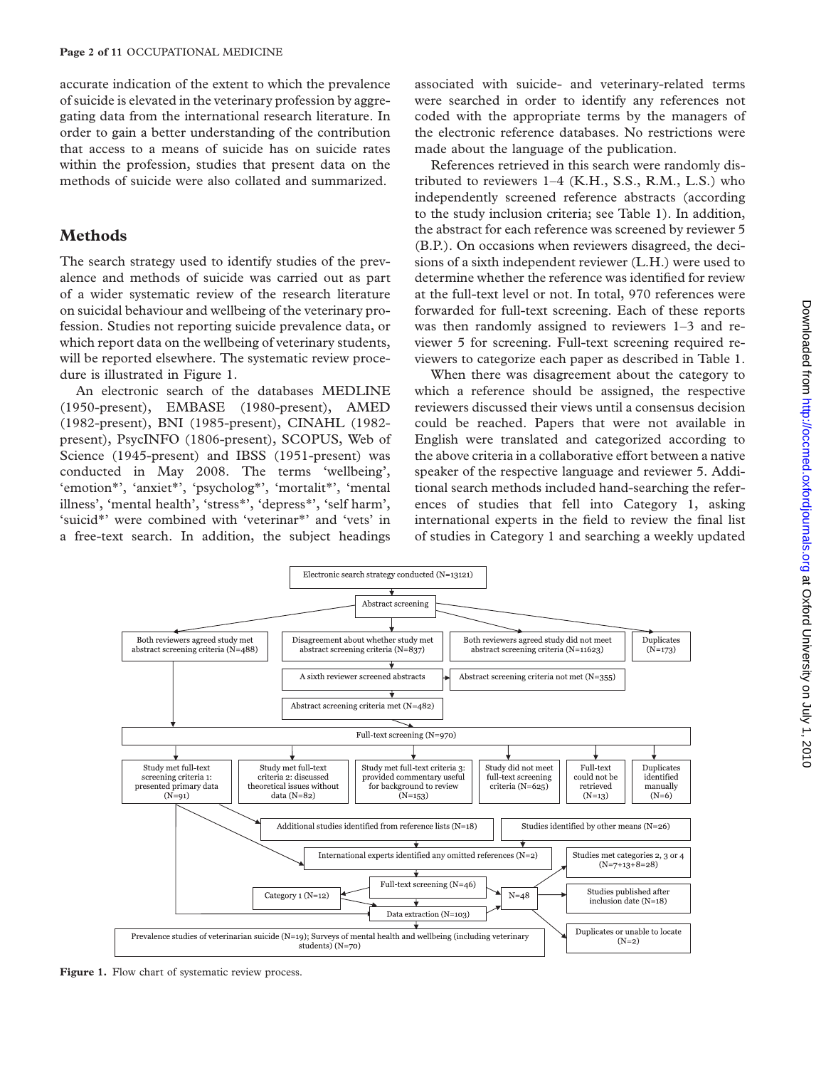accurate indication of the extent to which the prevalence of suicide is elevated in the veterinary profession by aggregating data from the international research literature. In order to gain a better understanding of the contribution that access to a means of suicide has on suicide rates within the profession, studies that present data on the methods of suicide were also collated and summarized.

#### Methods

The search strategy used to identify studies of the prevalence and methods of suicide was carried out as part of a wider systematic review of the research literature on suicidal behaviour and wellbeing of the veterinary profession. Studies not reporting suicide prevalence data, or which report data on the wellbeing of veterinary students, will be reported elsewhere. The systematic review procedure is illustrated in Figure 1.

An electronic search of the databases MEDLINE (1950-present), EMBASE (1980-present), AMED (1982-present), BNI (1985-present), CINAHL (1982 present), PsycINFO (1806-present), SCOPUS, Web of Science (1945-present) and IBSS (1951-present) was conducted in May 2008. The terms 'wellbeing', 'emotion\*', 'anxiet\*', 'psycholog\*', 'mortalit\*', 'mental illness', 'mental health', 'stress\*', 'depress\*', 'self harm', 'suicid\*' were combined with 'veterinar\*' and 'vets' in a free-text search. In addition, the subject headings

associated with suicide- and veterinary-related terms were searched in order to identify any references not coded with the appropriate terms by the managers of the electronic reference databases. No restrictions were made about the language of the publication.

References retrieved in this search were randomly distributed to reviewers 1–4 (K.H., S.S., R.M., L.S.) who independently screened reference abstracts (according to the study inclusion criteria; see Table 1). In addition, the abstract for each reference was screened by reviewer 5 (B.P.). On occasions when reviewers disagreed, the decisions of a sixth independent reviewer (L.H.) were used to determine whether the reference was identified for review at the full-text level or not. In total, 970 references were forwarded for full-text screening. Each of these reports was then randomly assigned to reviewers 1–3 and reviewer 5 for screening. Full-text screening required reviewers to categorize each paper as described in Table 1.

When there was disagreement about the category to which a reference should be assigned, the respective reviewers discussed their views until a consensus decision could be reached. Papers that were not available in English were translated and categorized according to the above criteria in a collaborative effort between a native speaker of the respective language and reviewer 5. Additional search methods included hand-searching the references of studies that fell into Category 1, asking international experts in the field to review the final list of studies in Category 1 and searching a weekly updated



Figure 1. Flow chart of systematic review process.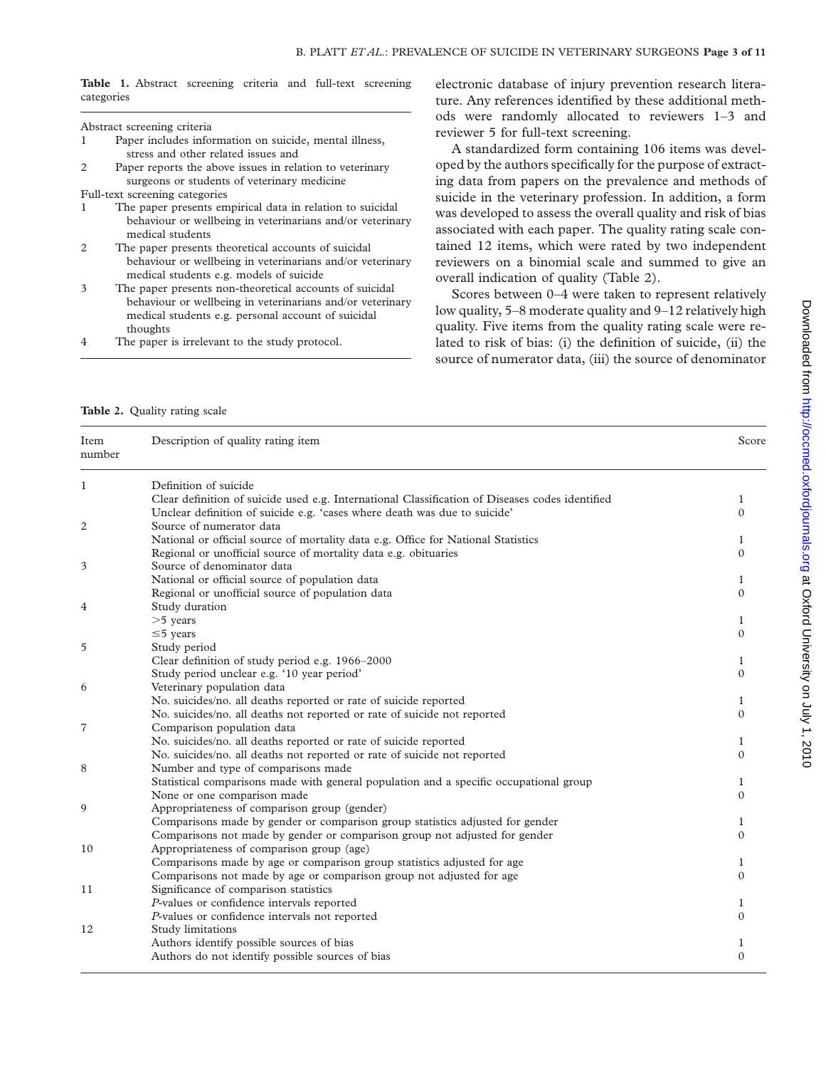Table 1. Abstract screening criteria and full-text screening categories

| Abstract screening criteria                                   |
|---------------------------------------------------------------|
| Paper includes information on suicide, mental illness,        |
| stress and other related issues and                           |
| Paper reports the above issues in relation to veterinary<br>2 |
| surgeons or students of veterinary medicine                   |
| Full-text screening categories                                |
| The paper presents empirical data in relation to suicidal     |
| behaviour or wellbeing in veterinarians and/or veterinary     |
| medical students                                              |
| The paper presents theoretical accounts of suicidal<br>2      |
| behaviour or wellbeing in veterinarians and/or veterinary     |
| medical students e.g. models of suicide                       |
| The paper presents non-theoretical accounts of suicidal<br>3  |
| behaviour or wellbeing in veterinarians and/or veterinary     |
| medical students e.g. personal account of suicidal            |

4 The paper is irrelevant to the study protocol.

electronic database of injury prevention research literature. Any references identified by these additional methods were randomly allocated to reviewers 1–3 and reviewer 5 for full-text screening.

A standardized form containing 106 items was developed by the authors specifically for the purpose of extracting data from papers on the prevalence and methods of suicide in the veterinary profession. In addition, a form was developed to assess the overall quality and risk of bias associated with each paper. The quality rating scale contained 12 items, which were rated by two independent reviewers on a binomial scale and summed to give an overall indication of quality (Table 2).

Scores between 0–4 were taken to represent relatively low quality, 5–8 moderate quality and 9–12 relatively high quality. Five items from the quality rating scale were related to risk of bias: (i) the definition of suicide, (ii) the source of numerator data, (iii) the source of denominator

#### Table 2. Quality rating scale

thoughts

| Item<br>number | Description of quality rating item                                                              | Score        |
|----------------|-------------------------------------------------------------------------------------------------|--------------|
| $\mathbf{1}$   | Definition of suicide                                                                           |              |
|                | Clear definition of suicide used e.g. International Classification of Diseases codes identified | $\mathbf{1}$ |
|                | Unclear definition of suicide e.g. 'cases where death was due to suicide'                       | $\Omega$     |
| $\overline{c}$ | Source of numerator data                                                                        |              |
|                | National or official source of mortality data e.g. Office for National Statistics               | 1.           |
|                | Regional or unofficial source of mortality data e.g. obituaries                                 | $\Omega$     |
| 3              | Source of denominator data                                                                      |              |
|                | National or official source of population data                                                  | 1            |
|                | Regional or unofficial source of population data                                                | $\Omega$     |
| 4              | Study duration                                                                                  |              |
|                | $>5$ years                                                                                      | 1            |
|                | $\leq$ 5 years                                                                                  | $\Omega$     |
| 5              | Study period                                                                                    |              |
|                | Clear definition of study period e.g. 1966-2000                                                 | 1            |
|                | Study period unclear e.g. '10 year period'                                                      | $\Omega$     |
| 6              | Veterinary population data                                                                      |              |
|                | No. suicides/no. all deaths reported or rate of suicide reported                                | 1            |
|                | No. suicides/no. all deaths not reported or rate of suicide not reported                        | $\Omega$     |
| 7              | Comparison population data                                                                      |              |
|                | No. suicides/no. all deaths reported or rate of suicide reported                                | 1            |
|                | No. suicides/no. all deaths not reported or rate of suicide not reported                        | $\Omega$     |
| 8              | Number and type of comparisons made                                                             |              |
|                | Statistical comparisons made with general population and a specific occupational group          | $\mathbf{1}$ |
|                | None or one comparison made                                                                     | $\Omega$     |
| 9              | Appropriateness of comparison group (gender)                                                    |              |
|                | Comparisons made by gender or comparison group statistics adjusted for gender                   | 1            |
|                | Comparisons not made by gender or comparison group not adjusted for gender                      | $\Omega$     |
| 10             | Appropriateness of comparison group (age)                                                       |              |
|                | Comparisons made by age or comparison group statistics adjusted for age                         | 1.           |
|                | Comparisons not made by age or comparison group not adjusted for age                            | $\Omega$     |
| 11             | Significance of comparison statistics                                                           |              |
|                | P-values or confidence intervals reported                                                       | 1            |
|                | P-values or confidence intervals not reported                                                   | $\Omega$     |
| 12             | Study limitations                                                                               |              |
|                | Authors identify possible sources of bias                                                       | 1            |
|                | Authors do not identify possible sources of bias                                                | $\Omega$     |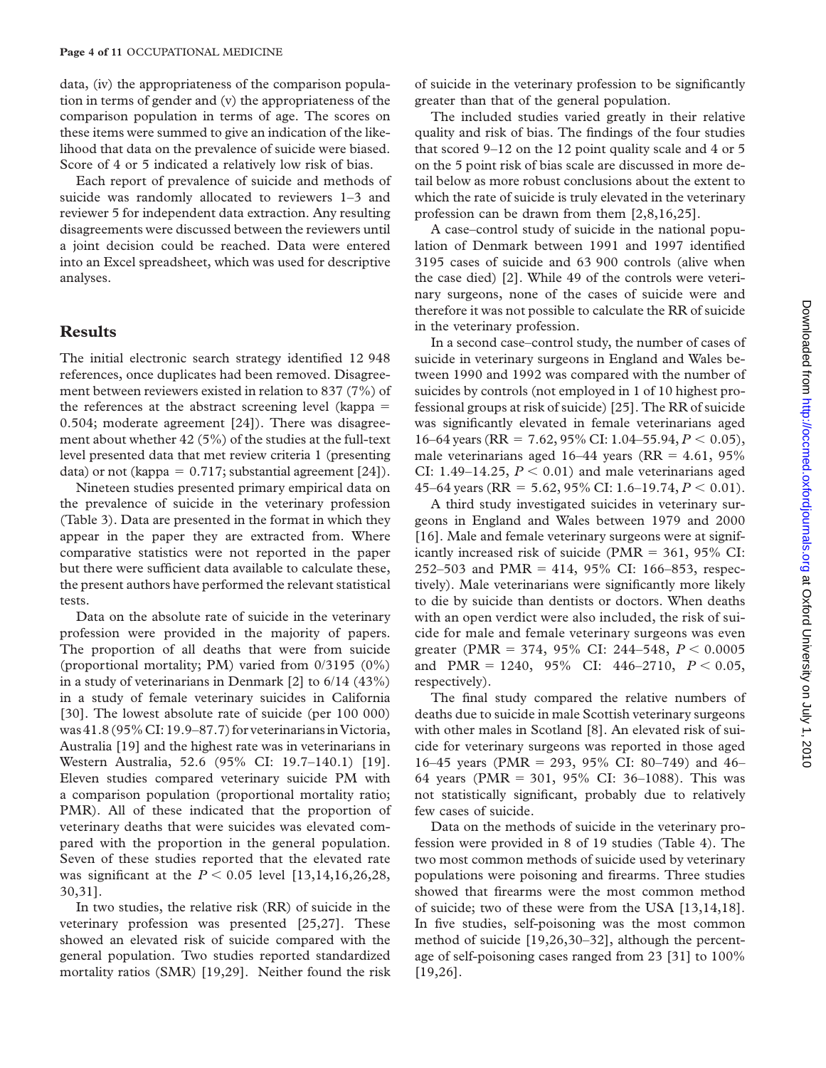data, (iv) the appropriateness of the comparison population in terms of gender and (v) the appropriateness of the comparison population in terms of age. The scores on these items were summed to give an indication of the likelihood that data on the prevalence of suicide were biased. Score of 4 or 5 indicated a relatively low risk of bias.

Each report of prevalence of suicide and methods of suicide was randomly allocated to reviewers 1–3 and reviewer 5 for independent data extraction. Any resulting disagreements were discussed between the reviewers until a ioint decision could be reached. Data were entered into an Excel spreadsheet, which was used for descriptive analyses.

#### Results

The initial electronic search strategy identified 12 948 references, once duplicates had been removed. Disagreement between reviewers existed in relation to 837 (7%) of the references at the abstract screening level (kappa  $=$ 0.504; moderate agreement [24]). There was disagreement about whether 42 (5%) of the studies at the full-text level presented data that met review criteria 1 (presenting data) or not (kappa =  $0.717$ ; substantial agreement [24]).

Nineteen studies presented primary empirical data on the prevalence of suicide in the veterinary profession (Table 3). Data are presented in the format in which they appear in the paper they are extracted from. Where comparative statistics were not reported in the paper but there were sufficient data available to calculate these, the present authors have performed the relevant statistical tests.

Data on the absolute rate of suicide in the veterinary profession were provided in the majority of papers. The proportion of all deaths that were from suicide (proportional mortality; PM) varied from 0/3195 (0%) in a study of veterinarians in Denmark [2] to 6/14 (43%) in a study of female veterinary suicides in California [30]. The lowest absolute rate of suicide (per 100 000) was 41.8 (95%CI: 19.9–87.7) for veterinariansin Victoria, Australia [19] and the highest rate was in veterinarians in Western Australia, 52.6 (95% CI: 19.7–140.1) [19]. Eleven studies compared veterinary suicide PM with a comparison population (proportional mortality ratio; PMR). All of these indicated that the proportion of veterinary deaths that were suicides was elevated compared with the proportion in the general population. Seven of these studies reported that the elevated rate was significant at the  $P < 0.05$  level [13,14,16,26,28, 30,31].

In two studies, the relative risk (RR) of suicide in the veterinary profession was presented [25,27]. These showed an elevated risk of suicide compared with the general population. Two studies reported standardized mortality ratios (SMR) [19,29]. Neither found the risk

of suicide in the veterinary profession to be significantly greater than that of the general population.

The included studies varied greatly in their relative quality and risk of bias. The findings of the four studies that scored 9–12 on the 12 point quality scale and 4 or 5 on the 5 point risk of bias scale are discussed in more detail below as more robust conclusions about the extent to which the rate of suicide is truly elevated in the veterinary profession can be drawn from them [2,8,16,25].

A case–control study of suicide in the national population of Denmark between 1991 and 1997 identified 3195 cases of suicide and 63 900 controls (alive when the case died) [2]. While 49 of the controls were veterinary surgeons, none of the cases of suicide were and therefore it was not possible to calculate the RR of suicide in the veterinary profession.

In a second case–control study, the number of cases of suicide in veterinary surgeons in England and Wales between 1990 and 1992 was compared with the number of suicides by controls (not employed in 1 of 10 highest professional groups at risk of suicide) [25]. The RR of suicide was significantly elevated in female veterinarians aged 16–64 years (RR = 7.62, 95% CI: 1.04–55.94,  $P < 0.05$ ), male veterinarians aged 16–44 years (RR =  $4.61$ , 95% CI: 1.49–14.25,  $P < 0.01$ ) and male veterinarians aged 45–64 years (RR = 5.62, 95% CI: 1.6–19.74,  $P < 0.01$ ).

A third study investigated suicides in veterinary surgeons in England and Wales between 1979 and 2000 [16]. Male and female veterinary surgeons were at significantly increased risk of suicide (PMR =  $361$ , 95% CI: 252–503 and PMR = 414, 95% CI: 166–853, respectively). Male veterinarians were significantly more likely to die by suicide than dentists or doctors. When deaths with an open verdict were also included, the risk of suicide for male and female veterinary surgeons was even greater (PMR = 374, 95% CI: 244–548,  $P < 0.0005$ and PMR = 1240, 95% CI: 446-2710,  $P < 0.05$ , respectively).

The final study compared the relative numbers of deaths due to suicide in male Scottish veterinary surgeons with other males in Scotland [8]. An elevated risk of suicide for veterinary surgeons was reported in those aged 16–45 years (PMR = 293, 95% CI: 80–749) and 46– 64 years (PMR = 301, 95% CI: 36–1088). This was not statistically significant, probably due to relatively few cases of suicide.

Data on the methods of suicide in the veterinary profession were provided in 8 of 19 studies (Table 4). The two most common methods of suicide used by veterinary populations were poisoning and firearms. Three studies showed that firearms were the most common method of suicide; two of these were from the USA [13,14,18]. In five studies, self-poisoning was the most common method of suicide [19,26,30–32], although the percentage of self-poisoning cases ranged from 23 [31] to 100% [19,26].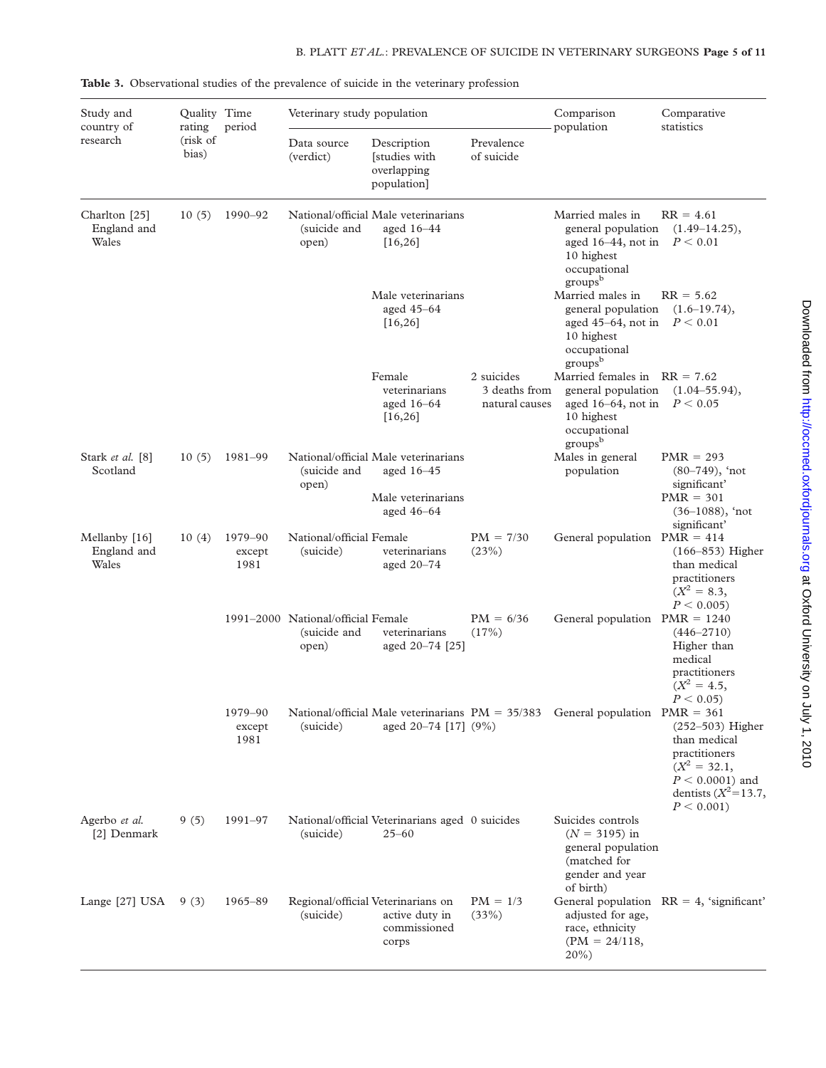| Study and<br>country of<br>research   | Quality Time<br>rating<br>(risk of<br>bias) | period                    | Veterinary study population                                 |                                                                                          | Comparison<br>population                      | Comparative<br>statistics                                                                                            |                                                                                                                                           |
|---------------------------------------|---------------------------------------------|---------------------------|-------------------------------------------------------------|------------------------------------------------------------------------------------------|-----------------------------------------------|----------------------------------------------------------------------------------------------------------------------|-------------------------------------------------------------------------------------------------------------------------------------------|
|                                       |                                             |                           | Data source<br>(verdict)                                    | Description<br>[studies with<br>overlapping<br>population]                               | Prevalence<br>of suicide                      |                                                                                                                      |                                                                                                                                           |
| Charlton [25]<br>England and<br>Wales | 10(5)                                       | 1990-92                   | (suicide and<br>open)                                       | National/official Male veterinarians<br>aged 16-44<br>[16, 26]                           |                                               | Married males in<br>general population<br>aged $16-44$ , not in<br>10 highest<br>occupational<br>groups <sup>b</sup> | $RR = 4.61$<br>$(1.49 - 14.25),$<br>P < 0.01                                                                                              |
|                                       |                                             |                           |                                                             | Male veterinarians<br>aged 45-64<br>[16, 26]                                             |                                               | Married males in<br>general population<br>aged 45-64, not in<br>10 highest<br>occupational<br>groups <sup>b</sup>    | $RR = 5.62$<br>$(1.6 - 19.74),$<br>P < 0.01                                                                                               |
|                                       |                                             |                           |                                                             | Female<br>veterinarians<br>aged 16-64<br>[16, 26]                                        | 2 suicides<br>3 deaths from<br>natural causes | Married females in $RR = 7.62$<br>general population<br>aged 16-64, not in<br>10 highest<br>occupational<br>groupsb  | $(1.04 - 55.94),$<br>P < 0.05                                                                                                             |
| Stark et al. [8]<br>Scotland          | 10(5)                                       | 1981-99                   | (suicide and<br>open)                                       | National/official Male veterinarians<br>aged 16-45<br>Male veterinarians<br>aged $46-64$ |                                               | Males in general<br>population                                                                                       | $PMR = 293$<br>$(80-749)$ , 'not<br>significant'<br>$PMR = 301$<br>$(36-1088)$ , 'not<br>significant'                                     |
| Mellanby [16]<br>England and<br>Wales | 10(4)                                       | 1979-90<br>except<br>1981 | National/official Female<br>(suicide)                       | veterinarians<br>aged 20-74                                                              | $PM = 7/30$<br>(23%)                          | General population $PMR = 414$                                                                                       | (166-853) Higher<br>than medical<br>practitioners<br>$(X^2 = 8.3,$<br>P < 0.005                                                           |
|                                       |                                             |                           | 1991-2000 National/official Female<br>(suicide and<br>open) | veterinarians<br>aged 20-74 [25]                                                         | $PM = 6/36$<br>(17%)                          | General population $PMR = 1240$                                                                                      | $(446 - 2710)$<br>Higher than<br>medical<br>practitioners<br>$(X^2 = 4.5,$<br>P < 0.05                                                    |
|                                       |                                             | 1979-90<br>except<br>1981 | (suicide)                                                   | aged 20-74 [17] (9%)                                                                     |                                               | National/official Male veterinarians $PM = 35/383$ General population $PMR = 361$                                    | $(252 - 503)$ Higher<br>than medical<br>practitioners<br>$(X^2 = 32.1,$<br>$P < 0.0001$ ) and<br>dentists $(X^2=13.7)$ ,<br>$P < 0.001$ ) |
| Agerbo et al.<br>[2] Denmark          | 9(5)                                        | 1991-97                   | (suicide)                                                   | National/official Veterinarians aged 0 suicides<br>$25 - 60$                             |                                               | Suicides controls<br>$(N = 3195)$ in<br>general population<br>(matched for<br>gender and year<br>of birth)           |                                                                                                                                           |
| Lange [27] USA                        | 9(3)                                        | 1965-89                   | (suicide)                                                   | Regional/official Veterinarians on<br>active duty in<br>commissioned<br>corps            | $PM = 1/3$<br>(33%)                           | General population $RR = 4$ , 'significant'<br>adjusted for age,<br>race, ethnicity<br>$(PM = 24/118,$<br>$20\%)$    |                                                                                                                                           |

Table 3. Observational studies of the prevalence of suicide in the veterinary profession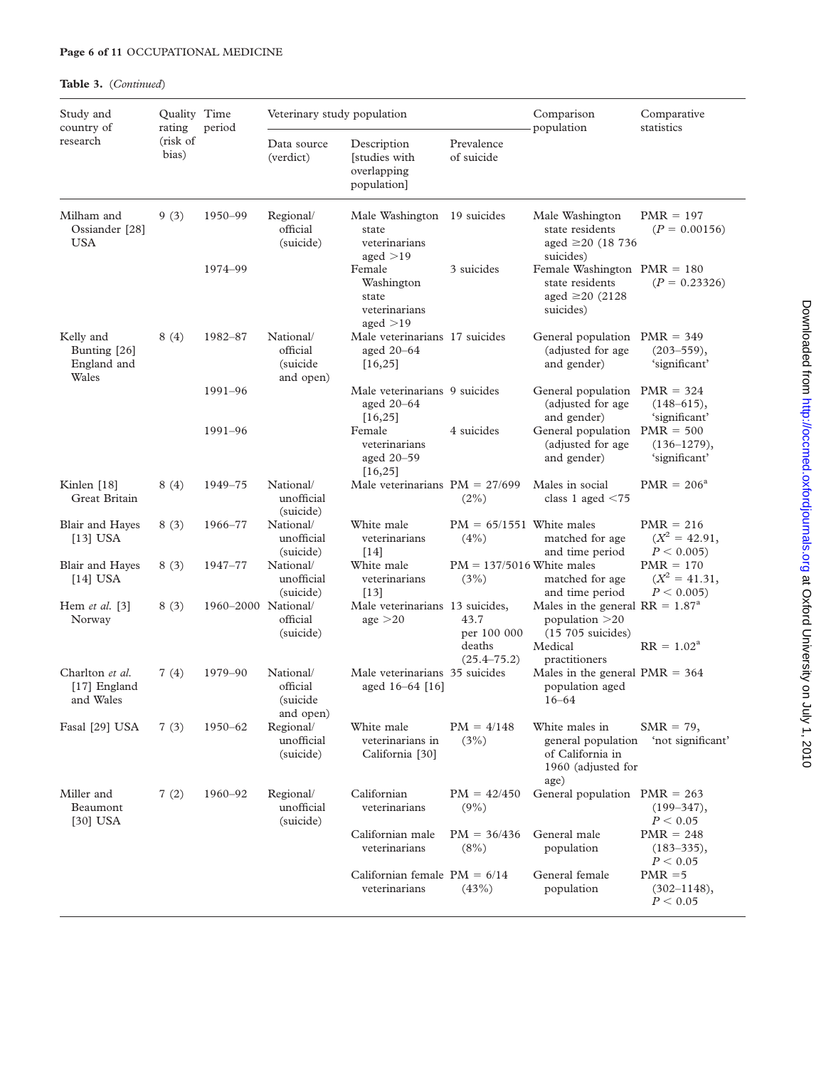#### Table 3. (Continued)

| Study and<br>country of                           | <b>Ouality</b> Time<br>rating<br>(risk of<br>bias) | period              | Veterinary study population                    |                                                                     | Comparison<br>population            | Comparative<br>statistics                                                                  |                                             |
|---------------------------------------------------|----------------------------------------------------|---------------------|------------------------------------------------|---------------------------------------------------------------------|-------------------------------------|--------------------------------------------------------------------------------------------|---------------------------------------------|
| research                                          |                                                    |                     | Data source<br>(verdict)                       | Description<br>[studies with<br>overlapping<br>population]          | Prevalence<br>of suicide            |                                                                                            |                                             |
| Milham and<br>Ossiander [28]<br><b>USA</b>        | 9(3)                                               | 1950-99             | Regional/<br>official<br>(suicide)             | Male Washington 19 suicides<br>state<br>veterinarians<br>aged $>19$ |                                     | Male Washington<br>state residents<br>aged $\geq$ 20 (18 736<br>suicides)                  | $PMR = 197$<br>$(P = 0.00156)$              |
|                                                   |                                                    | 1974-99             |                                                | Female<br>Washington<br>state<br>veterinarians<br>aged $>19$        | 3 suicides                          | Female Washington $PMR = 180$<br>state residents<br>aged $\geq$ 20 (2128<br>suicides)      | $(P = 0.23326)$                             |
| Kelly and<br>Bunting [26]<br>England and<br>Wales | 8(4)                                               | 1982-87             | National/<br>official<br>(suicide<br>and open) | Male veterinarians 17 suicides<br>aged $20-64$<br>[16, 25]          |                                     | General population $PMR = 349$<br>(adjusted for age<br>and gender)                         | $(203 - 559),$<br>'significant'             |
|                                                   |                                                    | $1991 - 96$         |                                                | Male veterinarians 9 suicides<br>aged $20-64$<br>[16, 25]           |                                     | General population $PMR = 324$<br>(adjusted for age<br>and gender)                         | $(148 - 615),$<br>'significant'             |
|                                                   |                                                    | $1991 - 96$         |                                                | Female<br>veterinarians<br>aged 20-59<br>[16, 25]                   | 4 suicides                          | General population $PMR = 500$<br>(adjusted for age<br>and gender)                         | $(136 - 1279),$<br>'significant'            |
| Kinlen [18]<br>Great Britain                      | 8(4)                                               | 1949-75             | National/<br>unofficial<br>(suicide)           | Male veterinarians $PM = 27/699$                                    | (2%)                                | Males in social<br>class 1 aged $<$ 75                                                     | $PMR = 206^a$                               |
| Blair and Hayes<br>$[13]$ USA                     | 8(3)                                               | 1966-77             | National/<br>unofficial<br>(suicide)           | White male<br>veterinarians<br>$[14]$                               | $PM = 65/1551$ White males<br>(4%)  | matched for age<br>and time period                                                         | $PMR = 216$<br>$(X^2 = 42.91,$<br>P < 0.005 |
| Blair and Hayes<br>$[14]$ USA                     | 8(3)                                               | 1947-77             | National/<br>unofficial<br>(suicide)           | White male<br>veterinarians<br>[13]                                 | $PM = 137/5016$ White males<br>(3%) | matched for age<br>and time period                                                         | $PMR = 170$<br>$(X^2 = 41.31,$<br>P < 0.005 |
| Hem et al. $[3]$<br>Norway                        | 8(3)                                               | 1960-2000 National/ | official<br>(suicide)                          | Male veterinarians 13 suicides,<br>age > 20                         | 43.7<br>per 100 000<br>deaths       | Males in the general $RR = 1.87^a$<br>population $>20$<br>$(15\ 705\ suicides)$<br>Medical | $RR = 1.02^a$                               |
| Charlton et al.<br>[17] England<br>and Wales      | 7(4)                                               | 1979-90             | National/<br>official<br>(suicide<br>and open) | Male veterinarians 35 suicides<br>aged 16-64 [16]                   | $(25.4 - 75.2)$                     | practitioners<br>Males in the general $PMR = 364$<br>population aged<br>$16 - 64$          |                                             |
| Fasal [29] USA                                    | 7(3)                                               | 1950-62             | Regional/<br>unofficial<br>(suicide)           | White male<br>veterinarians in<br>California [30]                   | $PM = 4/148$<br>(3%)                | White males in<br>general population<br>of California in<br>1960 (adjusted for             | $SMR = 79$ ,<br>'not significant'           |
| Miller and<br>Beaumont<br>$[30]$ USA              | 7(2)                                               | 1960-92             | Regional/<br>unofficial<br>(suicide)           | Californian<br>veterinarians                                        | $PM = 42/450$<br>(9%)               | age)<br>General population $PMR = 263$                                                     | $(199 - 347),$<br>P < 0.05                  |
|                                                   |                                                    |                     |                                                | Californian male<br>veterinarians                                   | $PM = 36/436$<br>(8%)               | General male<br>population                                                                 | $PMR = 248$<br>$(183 - 335),$<br>P < 0.05   |
|                                                   |                                                    |                     |                                                | Californian female $PM = 6/14$<br>veterinarians                     | (43%)                               | General female<br>population                                                               | $PMR = 5$<br>$(302 - 1148),$<br>P < 0.05    |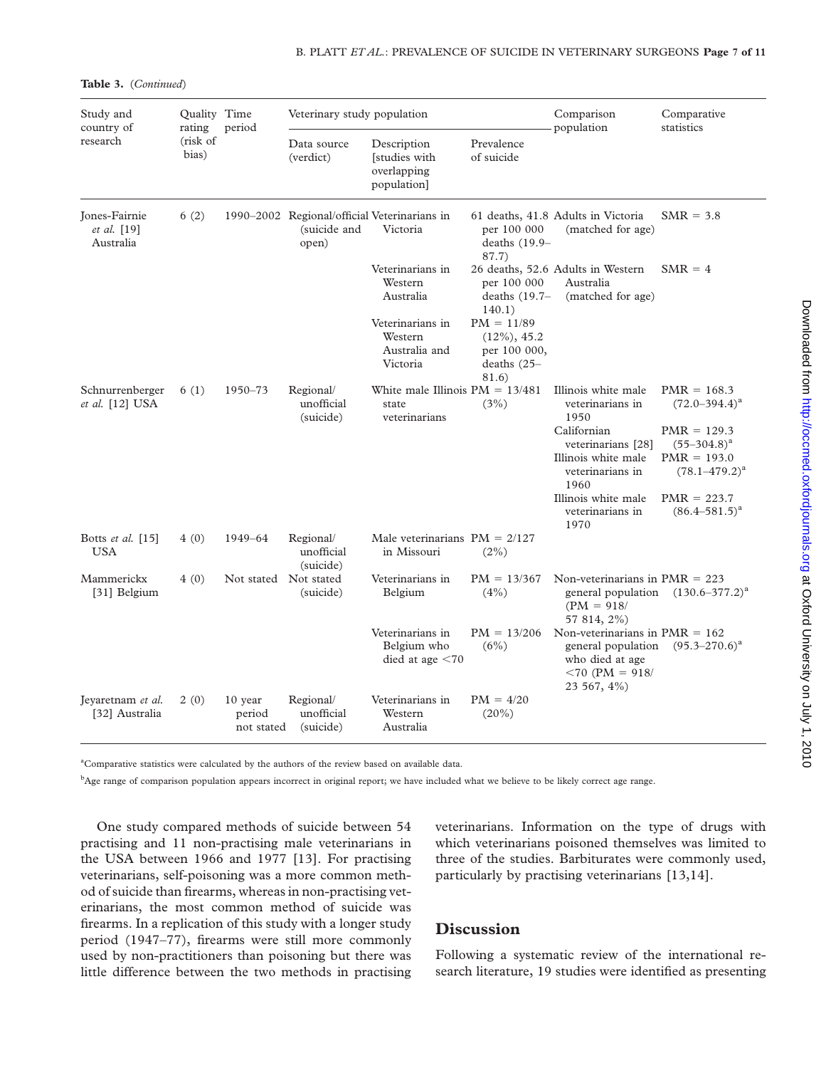| Study and<br>country of                   | rating<br>(risk of<br>bias) | Quality Time<br>period          | Veterinary study population          |                                                                                                      | Comparison<br>population                                                                                                | Comparative<br>statistics                                                                                                                                                                  |                                                                                                                                                        |
|-------------------------------------------|-----------------------------|---------------------------------|--------------------------------------|------------------------------------------------------------------------------------------------------|-------------------------------------------------------------------------------------------------------------------------|--------------------------------------------------------------------------------------------------------------------------------------------------------------------------------------------|--------------------------------------------------------------------------------------------------------------------------------------------------------|
| research                                  |                             |                                 | Data source<br>(verdict)             | Description<br><b>Istudies</b> with<br>overlapping<br>population]                                    | Prevalence<br>of suicide                                                                                                |                                                                                                                                                                                            |                                                                                                                                                        |
| Jones-Fairnie<br>et al. [19]<br>Australia | 6(2)                        |                                 | (suicide and<br>open)                | 1990-2002 Regional/official Veterinarians in<br>Victoria                                             | per 100 000<br>deaths (19.9-<br>87.7)                                                                                   | 61 deaths, 41.8 Adults in Victoria<br>(matched for age)                                                                                                                                    | $SMR = 3.8$                                                                                                                                            |
|                                           |                             |                                 |                                      | Veterinarians in<br>Western<br>Australia<br>Veterinarians in<br>Western<br>Australia and<br>Victoria | per 100 000<br>deaths $(19.7 -$<br>140.1)<br>$PM = 11/89$<br>$(12\%)$ , 45.2<br>per 100 000,<br>deaths $(25 -$<br>81.6) | 26 deaths, 52.6 Adults in Western<br>Australia<br>(matched for age)                                                                                                                        | $SMR = 4$                                                                                                                                              |
| Schnurrenberger<br>et al. [12] USA        | 6(1)                        | 1950-73                         | Regional/<br>unofficial<br>(suicide) | White male Illinois $PM = 13/481$<br>state<br>veterinarians                                          | (3%)                                                                                                                    | Illinois white male<br>veterinarians in<br>1950<br>Californian<br>veterinarians [28]<br>Illinois white male<br>veterinarians in<br>1960<br>Illinois white male<br>veterinarians in<br>1970 | $PMR = 168.3$<br>$(72.0 - 394.4)^a$<br>$PMR = 129.3$<br>$(55-304.8)^a$<br>$PMR = 193.0$<br>$(78.1 - 479.2)^a$<br>$PMR = 223.7$<br>$(86.4 - 581.5)^{a}$ |
| Botts et al. [15]<br><b>USA</b>           | 4(0)                        | 1949-64                         | Regional/<br>unofficial<br>(suicide) | Male veterinarians $PM = 2/127$<br>in Missouri                                                       | (2%)                                                                                                                    |                                                                                                                                                                                            |                                                                                                                                                        |
| Mammerickx<br>[31] Belgium                | 4(0)                        | Not stated Not stated           | (suicide)                            | Veterinarians in<br>Belgium                                                                          | $PM = 13/367$<br>(4%)                                                                                                   | Non-veterinarians in $PMR = 223$<br>general population<br>$(PM = 918)$<br>57 814, 2%)                                                                                                      | $(130.6 - 377.2)^a$                                                                                                                                    |
|                                           |                             |                                 |                                      | Veterinarians in<br>Belgium who<br>died at age $<$ 70                                                | $PM = 13/206$<br>(6%)                                                                                                   | Non-veterinarians in $PMR = 162$<br>general population<br>who died at age<br>$< 70$ (PM = 918/<br>23 567, 4%)                                                                              | $(95.3 - 270.6)^a$                                                                                                                                     |
| Jevaretnam et al.<br>[32] Australia       | 2(0)                        | 10 year<br>period<br>not stated | Regional/<br>unofficial<br>(suicide) | Veterinarians in<br>Western<br>Australia                                                             | $PM = 4/20$<br>(20%)                                                                                                    |                                                                                                                                                                                            |                                                                                                                                                        |

Table 3. (Continued)

<sup>a</sup>Comparative statistics were calculated by the authors of the review based on available data.

<sup>b</sup>Age range of comparison population appears incorrect in original report; we have included what we believe to be likely correct age range.

One study compared methods of suicide between 54 practising and 11 non-practising male veterinarians in the USA between 1966 and 1977 [13]. For practising veterinarians, self-poisoning was a more common method of suicide than firearms, whereas in non-practising veterinarians, the most common method of suicide was firearms. In a replication of this study with a longer study period (1947–77), firearms were still more commonly used by non-practitioners than poisoning but there was little difference between the two methods in practising veterinarians. Information on the type of drugs with which veterinarians poisoned themselves was limited to three of the studies. Barbiturates were commonly used, particularly by practising veterinarians [13,14].

#### **Discussion**

Following a systematic review of the international research literature, 19 studies were identified as presenting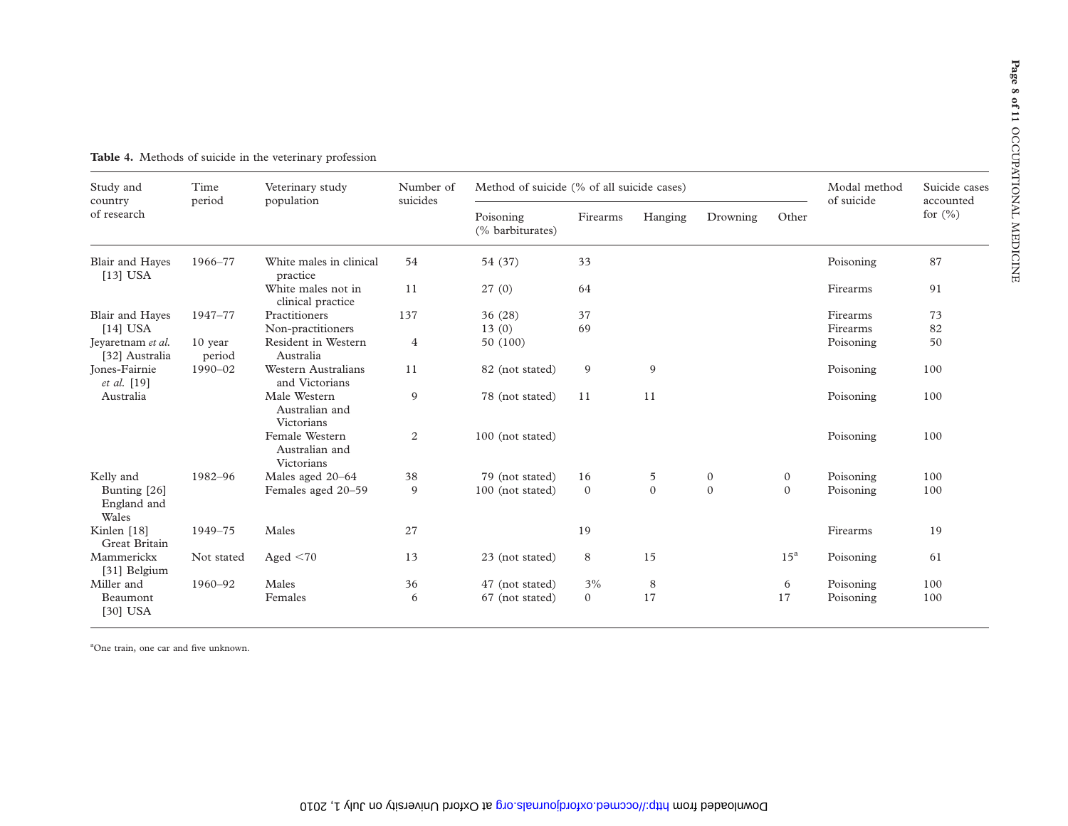| Study and<br>country<br>of research       | Time<br>period    | Veterinary study<br>population                 | Number of<br>suicides | Method of suicide (% of all suicide cases) |                |          |              |                 | Modal method<br>of suicide | Suicide cases<br>accounted |
|-------------------------------------------|-------------------|------------------------------------------------|-----------------------|--------------------------------------------|----------------|----------|--------------|-----------------|----------------------------|----------------------------|
|                                           |                   |                                                |                       | Poisoning<br>(% barbiturates)              | Firearms       | Hanging  | Drowning     | Other           |                            | for $(\% )$                |
| Blair and Haves<br>$[13]$ USA             | 1966-77           | White males in clinical<br>practice            | 54                    | 54 (37)                                    | 33             |          |              |                 | Poisoning                  | 87                         |
|                                           |                   | White males not in<br>clinical practice        | 11                    | 27(0)                                      | 64             |          |              |                 | Firearms                   | 91                         |
| Blair and Hayes                           | 1947-77           | Practitioners                                  | 137                   | 36 (28)                                    | 37             |          |              |                 | Firearms                   | 73                         |
| $[14]$ USA                                |                   | Non-practitioners                              |                       | 13(0)                                      | 69             |          |              |                 | Firearms                   | 82                         |
| Jeyaretnam et al.<br>[32] Australia       | 10 year<br>period | Resident in Western<br>Australia               | $\overline{4}$        | 50 (100)                                   |                |          |              |                 | Poisoning                  | 50                         |
| Jones-Fairnie<br>et al. [19]<br>Australia | 1990-02           | <b>Western Australians</b><br>and Victorians   | 11                    | 82 (not stated)                            | 9              | 9        |              |                 | Poisoning                  | 100                        |
|                                           |                   | Male Western<br>Australian and<br>Victorians   | $\overline{9}$        | 78 (not stated)                            | 11             | 11       |              |                 | Poisoning                  | 100                        |
|                                           |                   | Female Western<br>Australian and<br>Victorians | 2                     | 100 (not stated)                           |                |          |              |                 | Poisoning                  | 100                        |
| Kelly and                                 | 1982-96           | Males aged 20-64                               | 38                    | 79 (not stated)                            | 16             | 5        | $\mathbf{0}$ | $\mathbf{0}$    | Poisoning                  | 100                        |
| Bunting [26]<br>England and<br>Wales      |                   | Females aged 20-59                             | 9                     | 100 (not stated)                           | $\overline{0}$ | $\Omega$ | $\mathbf{0}$ | $\mathbf{0}$    | Poisoning                  | 100                        |
| Kinlen [18]<br>Great Britain              | 1949-75           | Males                                          | 27                    |                                            | 19             |          |              |                 | Firearms                   | 19                         |
| Mammerickx<br>[31] Belgium                | Not stated        | Aged $< 70$                                    | 13                    | 23 (not stated)                            | 8              | 15       |              | 15 <sup>a</sup> | Poisoning                  | 61                         |
| Miller and                                | 1960-92           | Males                                          | 36                    | 47 (not stated)                            | 3%             | 8        |              | 6               | Poisoning                  | 100                        |
| Beaumont<br>$[30]$ USA                    |                   | Females                                        | 6                     | 67 (not stated)                            | $\overline{0}$ | 17       |              | 17              | Poisoning                  | 100                        |

**Table 4.** Methods of suicide in the veterinary profession

aOne train, one car and five unknown.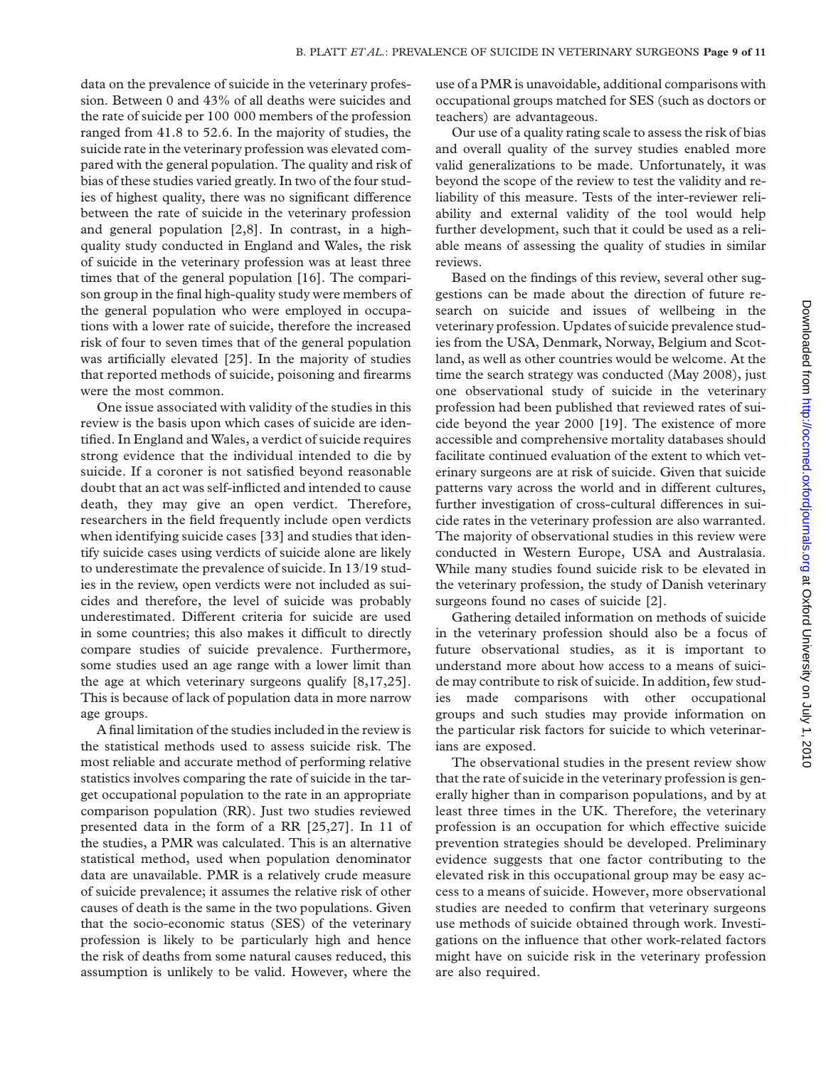data on the prevalence of suicide in the veterinary profession. Between 0 and 43% of all deaths were suicides and the rate of suicide per 100 000 members of the profession ranged from 41.8 to 52.6. In the majority of studies, the suicide rate in the veterinary profession was elevated compared with the general population. The quality and risk of bias of these studies varied greatly. In two of the four studies of highest quality, there was no significant difference between the rate of suicide in the veterinary profession and general population [2,8]. In contrast, in a highquality study conducted in England and Wales, the risk of suicide in the veterinary profession was at least three times that of the general population [16]. The comparison group in the final high-quality study were members of the general population who were employed in occupations with a lower rate of suicide, therefore the increased risk of four to seven times that of the general population was artificially elevated [25]. In the majority of studies that reported methods of suicide, poisoning and firearms were the most common.

One issue associated with validity of the studies in this review is the basis upon which cases of suicide are identified. In England and Wales, a verdict of suicide requires strong evidence that the individual intended to die by suicide. If a coroner is not satisfied beyond reasonable doubt that an act was self-inflicted and intended to cause death, they may give an open verdict. Therefore, researchers in the field frequently include open verdicts when identifying suicide cases [33] and studies that identify suicide cases using verdicts of suicide alone are likely to underestimate the prevalence of suicide. In 13/19 studies in the review, open verdicts were not included as suicides and therefore, the level of suicide was probably underestimated. Different criteria for suicide are used in some countries; this also makes it difficult to directly compare studies of suicide prevalence. Furthermore, some studies used an age range with a lower limit than the age at which veterinary surgeons qualify [8,17,25]. This is because of lack of population data in more narrow age groups.

A final limitation of the studies included in the review is the statistical methods used to assess suicide risk. The most reliable and accurate method of performing relative statistics involves comparing the rate of suicide in the target occupational population to the rate in an appropriate comparison population (RR). Just two studies reviewed presented data in the form of a RR [25,27]. In 11 of the studies, a PMR was calculated. This is an alternative statistical method, used when population denominator data are unavailable. PMR is a relatively crude measure of suicide prevalence; it assumes the relative risk of other causes of death is the same in the two populations. Given that the socio-economic status (SES) of the veterinary profession is likely to be particularly high and hence the risk of deaths from some natural causes reduced, this assumption is unlikely to be valid. However, where the use of a PMR is unavoidable, additional comparisons with occupational groups matched for SES (such as doctors or teachers) are advantageous.

Our use of a quality rating scale to assess the risk of bias and overall quality of the survey studies enabled more valid generalizations to be made. Unfortunately, it was beyond the scope of the review to test the validity and reliability of this measure. Tests of the inter-reviewer reliability and external validity of the tool would help further development, such that it could be used as a reliable means of assessing the quality of studies in similar reviews.

Based on the findings of this review, several other suggestions can be made about the direction of future research on suicide and issues of wellbeing in the veterinary profession. Updates of suicide prevalence studies from the USA, Denmark, Norway, Belgium and Scotland, as well as other countries would be welcome. At the time the search strategy was conducted (May 2008), just one observational study of suicide in the veterinary profession had been published that reviewed rates of suicide beyond the year 2000 [19]. The existence of more accessible and comprehensive mortality databases should facilitate continued evaluation of the extent to which veterinary surgeons are at risk of suicide. Given that suicide patterns vary across the world and in different cultures, further investigation of cross-cultural differences in suicide rates in the veterinary profession are also warranted. The majority of observational studies in this review were conducted in Western Europe, USA and Australasia. While many studies found suicide risk to be elevated in the veterinary profession, the study of Danish veterinary surgeons found no cases of suicide [2].

Gathering detailed information on methods of suicide in the veterinary profession should also be a focus of future observational studies, as it is important to understand more about how access to a means of suicide may contribute to risk of suicide. In addition, few studies made comparisons with other occupational groups and such studies may provide information on the particular risk factors for suicide to which veterinarians are exposed.

The observational studies in the present review show that the rate of suicide in the veterinary profession is generally higher than in comparison populations, and by at least three times in the UK. Therefore, the veterinary profession is an occupation for which effective suicide prevention strategies should be developed. Preliminary evidence suggests that one factor contributing to the elevated risk in this occupational group may be easy access to a means of suicide. However, more observational studies are needed to confirm that veterinary surgeons use methods of suicide obtained through work. Investigations on the influence that other work-related factors might have on suicide risk in the veterinary profession are also required.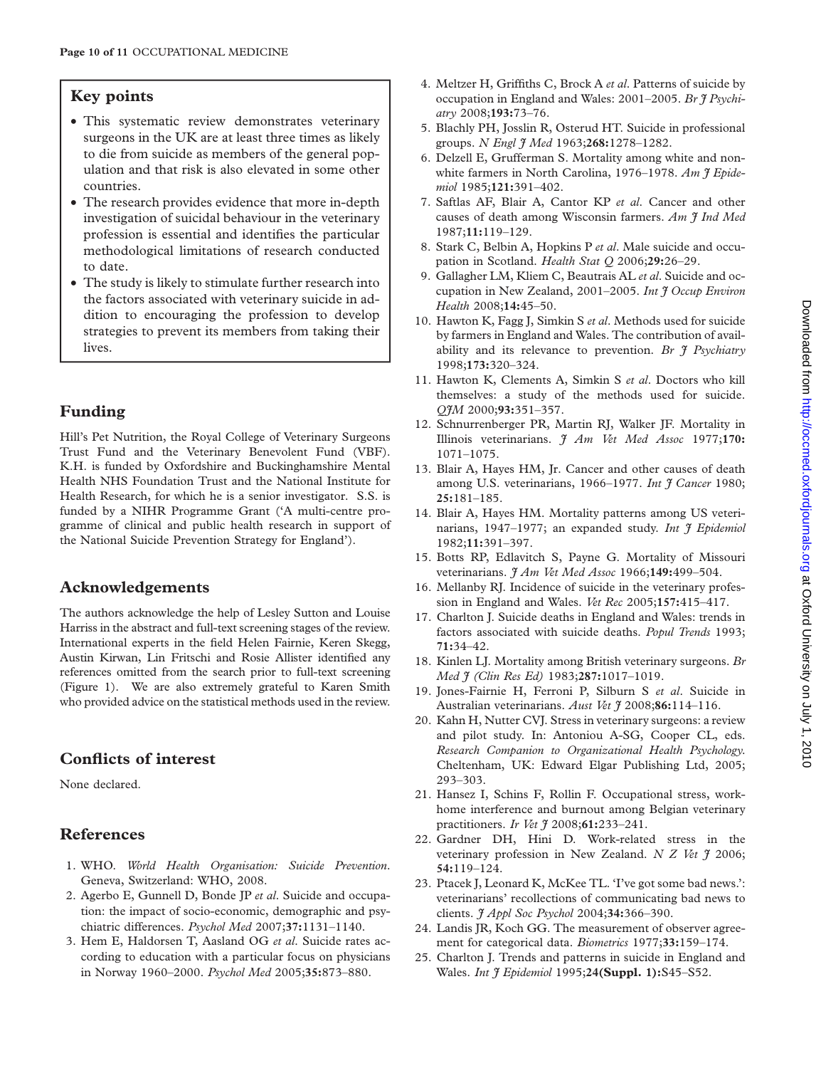#### Key points

- This systematic review demonstrates veterinary surgeons in the UK are at least three times as likely to die from suicide as members of the general population and that risk is also elevated in some other countries.
- The research provides evidence that more in-depth investigation of suicidal behaviour in the veterinary profession is essential and identifies the particular methodological limitations of research conducted to date.
- The study is likely to stimulate further research into the factors associated with veterinary suicide in addition to encouraging the profession to develop strategies to prevent its members from taking their lives.

## Funding

Hill's Pet Nutrition, the Royal College of Veterinary Surgeons Trust Fund and the Veterinary Benevolent Fund (VBF). K.H. is funded by Oxfordshire and Buckinghamshire Mental Health NHS Foundation Trust and the National Institute for Health Research, for which he is a senior investigator. S.S. is funded by a NIHR Programme Grant ('A multi-centre programme of clinical and public health research in support of the National Suicide Prevention Strategy for England').

## Acknowledgements

The authors acknowledge the help of Lesley Sutton and Louise Harriss in the abstract and full-text screening stages of the review. International experts in the field Helen Fairnie, Keren Skegg, Austin Kirwan, Lin Fritschi and Rosie Allister identified any references omitted from the search prior to full-text screening (Figure 1). We are also extremely grateful to Karen Smith who provided advice on the statistical methods used in the review.

## Conflicts of interest

None declared.

## References

- 1. WHO. World Health Organisation: Suicide Prevention. Geneva, Switzerland: WHO, 2008.
- 2. Agerbo E, Gunnell D, Bonde JP et al. Suicide and occupation: the impact of socio-economic, demographic and psychiatric differences. Psychol Med 2007;37:1131–1140.
- 3. Hem E, Haldorsen T, Aasland OG et al. Suicide rates according to education with a particular focus on physicians in Norway 1960–2000. Psychol Med 2005;35:873–880.
- 4. Meltzer H, Griffiths C, Brock A et al. Patterns of suicide by occupation in England and Wales: 2001-2005. Br J Psychiatry 2008;193:73–76.
- 5. Blachly PH, Josslin R, Osterud HT. Suicide in professional groups. N Engl J Med 1963;268:1278-1282.
- 6. Delzell E, Grufferman S. Mortality among white and nonwhite farmers in North Carolina, 1976–1978. Am J Epidemiol 1985;121:391–402.
- 7. Saftlas AF, Blair A, Cantor KP et al. Cancer and other causes of death among Wisconsin farmers. Am  $\tilde{\tau}$  Ind Med 1987;11:119–129.
- 8. Stark C, Belbin A, Hopkins P et al. Male suicide and occupation in Scotland. Health Stat Q 2006;29:26-29.
- 9. Gallagher LM, Kliem C, Beautrais AL et al. Suicide and occupation in New Zealand, 2001–2005. Int J Occup Environ Health 2008;14:45–50.
- 10. Hawton K, Fagg J, Simkin S et al. Methods used for suicide by farmers in England and Wales. The contribution of availability and its relevance to prevention. Br  $\hat{J}$  Psychiatry 1998;173:320–324.
- 11. Hawton K, Clements A, Simkin S et al. Doctors who kill themselves: a study of the methods used for suicide. OHM 2000;93:351-357.
- 12. Schnurrenberger PR, Martin RJ, Walker JF. Mortality in Illinois veterinarians.  $\tilde{J}$  Am Vet Med Assoc 1977;170: 1071–1075.
- 13. Blair A, Hayes HM, Jr. Cancer and other causes of death among U.S. veterinarians, 1966–1977. Int J Cancer 1980; 25:181–185.
- 14. Blair A, Hayes HM. Mortality patterns among US veterinarians, 1947-1977; an expanded study. Int  $\widetilde{J}$  Epidemiol 1982;11:391–397.
- 15. Botts RP, Edlavitch S, Payne G. Mortality of Missouri veterinarians.  $J Am$  Vet Med Assoc 1966;149:499-504.
- 16. Mellanby RJ. Incidence of suicide in the veterinary profession in England and Wales. Vet Rec  $2005;157:415-417$ .
- 17. Charlton J. Suicide deaths in England and Wales: trends in factors associated with suicide deaths. Popul Trends 1993; 71:34–42.
- 18. Kinlen LJ. Mortality among British veterinary surgeons. Br Med  $\widetilde{\mathcal{J}}$  (Clin Res Ed) 1983;287:1017-1019.
- 19. Jones-Fairnie H, Ferroni P, Silburn S et al. Suicide in Australian veterinarians. Aust Vet  $\widetilde{J}$  2008;86:114-116.
- 20. Kahn H, Nutter CVJ. Stress in veterinary surgeons: a review and pilot study. In: Antoniou A-SG, Cooper CL, eds. Research Companion to Organizational Health Psychology. Cheltenham, UK: Edward Elgar Publishing Ltd, 2005; 293–303.
- 21. Hansez I, Schins F, Rollin F. Occupational stress, workhome interference and burnout among Belgian veterinary practitioners. Ir Vet  $\widetilde{J}$  2008;61:233-241.
- 22. Gardner DH, Hini D. Work-related stress in the veterinary profession in New Zealand. N Z Vet  $\mathfrak{Z}$  2006; 54:119–124.
- 23. Ptacek J, Leonard K, McKee TL. 'I've got some bad news.': veterinarians' recollections of communicating bad news to clients. *J Appl Soc Psychol* 2004;34:366-390.
- 24. Landis JR, Koch GG. The measurement of observer agreement for categorical data. Biometrics 1977;33:159-174.
- 25. Charlton J. Trends and patterns in suicide in England and Wales. Int J Epidemiol 1995;24(Suppl. 1):S45-S52.